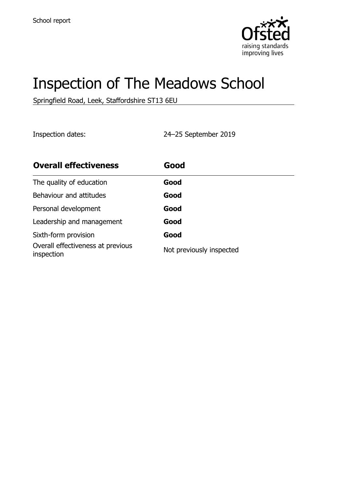

# Inspection of The Meadows School

Springfield Road, Leek, Staffordshire ST13 6EU

Inspection dates: 24–25 September 2019

| <b>Overall effectiveness</b>                    | Good                     |
|-------------------------------------------------|--------------------------|
| The quality of education                        | Good                     |
| Behaviour and attitudes                         | Good                     |
| Personal development                            | Good                     |
| Leadership and management                       | Good                     |
| Sixth-form provision                            | Good                     |
| Overall effectiveness at previous<br>inspection | Not previously inspected |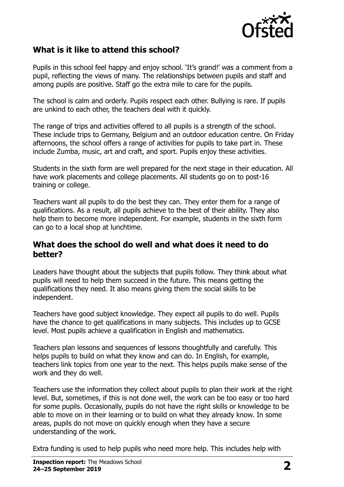

#### **What is it like to attend this school?**

Pupils in this school feel happy and enjoy school. 'It's grand!' was a comment from a pupil, reflecting the views of many. The relationships between pupils and staff and among pupils are positive. Staff go the extra mile to care for the pupils.

The school is calm and orderly. Pupils respect each other. Bullying is rare. If pupils are unkind to each other, the teachers deal with it quickly.

The range of trips and activities offered to all pupils is a strength of the school. These include trips to Germany, Belgium and an outdoor education centre. On Friday afternoons, the school offers a range of activities for pupils to take part in. These include Zumba, music, art and craft, and sport. Pupils enjoy these activities.

Students in the sixth form are well prepared for the next stage in their education. All have work placements and college placements. All students go on to post-16 training or college.

Teachers want all pupils to do the best they can. They enter them for a range of qualifications. As a result, all pupils achieve to the best of their ability. They also help them to become more independent. For example, students in the sixth form can go to a local shop at lunchtime.

#### **What does the school do well and what does it need to do better?**

Leaders have thought about the subjects that pupils follow. They think about what pupils will need to help them succeed in the future. This means getting the qualifications they need. It also means giving them the social skills to be independent.

Teachers have good subject knowledge. They expect all pupils to do well. Pupils have the chance to get qualifications in many subjects. This includes up to GCSE level. Most pupils achieve a qualification in English and mathematics.

Teachers plan lessons and sequences of lessons thoughtfully and carefully. This helps pupils to build on what they know and can do. In English, for example, teachers link topics from one year to the next. This helps pupils make sense of the work and they do well.

Teachers use the information they collect about pupils to plan their work at the right level. But, sometimes, if this is not done well, the work can be too easy or too hard for some pupils. Occasionally, pupils do not have the right skills or knowledge to be able to move on in their learning or to build on what they already know. In some areas, pupils do not move on quickly enough when they have a secure understanding of the work.

Extra funding is used to help pupils who need more help. This includes help with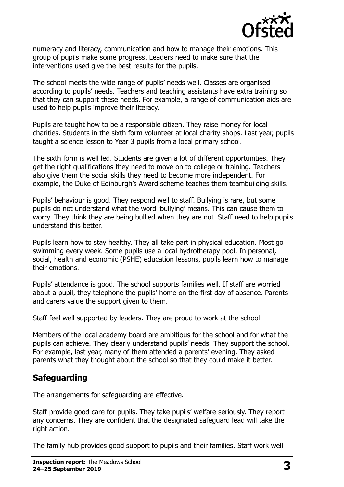

numeracy and literacy, communication and how to manage their emotions. This group of pupils make some progress. Leaders need to make sure that the interventions used give the best results for the pupils.

The school meets the wide range of pupils' needs well. Classes are organised according to pupils' needs. Teachers and teaching assistants have extra training so that they can support these needs. For example, a range of communication aids are used to help pupils improve their literacy.

Pupils are taught how to be a responsible citizen. They raise money for local charities. Students in the sixth form volunteer at local charity shops. Last year, pupils taught a science lesson to Year 3 pupils from a local primary school.

The sixth form is well led. Students are given a lot of different opportunities. They get the right qualifications they need to move on to college or training. Teachers also give them the social skills they need to become more independent. For example, the Duke of Edinburgh's Award scheme teaches them teambuilding skills.

Pupils' behaviour is good. They respond well to staff. Bullying is rare, but some pupils do not understand what the word 'bullying' means. This can cause them to worry. They think they are being bullied when they are not. Staff need to help pupils understand this better.

Pupils learn how to stay healthy. They all take part in physical education. Most go swimming every week. Some pupils use a local hydrotherapy pool. In personal, social, health and economic (PSHE) education lessons, pupils learn how to manage their emotions.

Pupils' attendance is good. The school supports families well. If staff are worried about a pupil, they telephone the pupils' home on the first day of absence. Parents and carers value the support given to them.

Staff feel well supported by leaders. They are proud to work at the school.

Members of the local academy board are ambitious for the school and for what the pupils can achieve. They clearly understand pupils' needs. They support the school. For example, last year, many of them attended a parents' evening. They asked parents what they thought about the school so that they could make it better.

#### **Safeguarding**

The arrangements for safeguarding are effective.

Staff provide good care for pupils. They take pupils' welfare seriously. They report any concerns. They are confident that the designated safeguard lead will take the right action.

The family hub provides good support to pupils and their families. Staff work well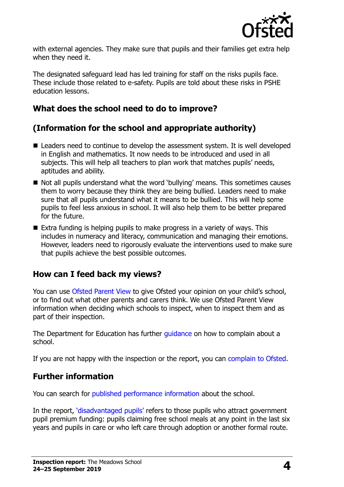

with external agencies. They make sure that pupils and their families get extra help when they need it.

The designated safeguard lead has led training for staff on the risks pupils face. These include those related to e-safety. Pupils are told about these risks in PSHE education lessons.

### **What does the school need to do to improve?**

## **(Information for the school and appropriate authority)**

- Leaders need to continue to develop the assessment system. It is well developed in English and mathematics. It now needs to be introduced and used in all subjects. This will help all teachers to plan work that matches pupils' needs, aptitudes and ability.
- Not all pupils understand what the word 'bullying' means. This sometimes causes them to worry because they think they are being bullied. Leaders need to make sure that all pupils understand what it means to be bullied. This will help some pupils to feel less anxious in school. It will also help them to be better prepared for the future.
- Extra funding is helping pupils to make progress in a variety of ways. This includes in numeracy and literacy, communication and managing their emotions. However, leaders need to rigorously evaluate the interventions used to make sure that pupils achieve the best possible outcomes.

#### **How can I feed back my views?**

You can use [Ofsted Parent View](http://parentview.ofsted.gov.uk/) to give Ofsted your opinion on your child's school, or to find out what other parents and carers think. We use Ofsted Parent View information when deciding which schools to inspect, when to inspect them and as part of their inspection.

The Department for Education has further quidance on how to complain about a school.

If you are not happy with the inspection or the report, you can [complain to Ofsted.](http://www.gov.uk/complain-ofsted-report)

#### **Further information**

You can search for [published performance information](http://www.compare-school-performance.service.gov.uk/) about the school.

In the report, '[disadvantaged pupils](http://www.gov.uk/guidance/pupil-premium-information-for-schools-and-alternative-provision-settings)' refers to those pupils who attract government pupil premium funding: pupils claiming free school meals at any point in the last six years and pupils in care or who left care through adoption or another formal route.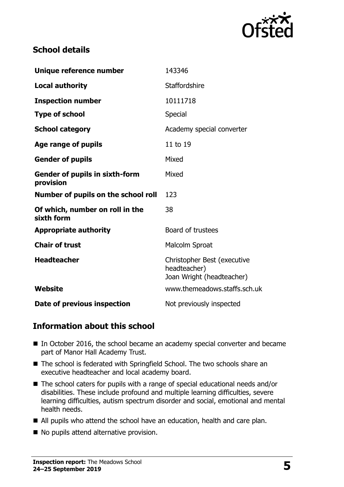

### **School details**

| Unique reference number                            | 143346                                                                   |
|----------------------------------------------------|--------------------------------------------------------------------------|
| <b>Local authority</b>                             | Staffordshire                                                            |
| <b>Inspection number</b>                           | 10111718                                                                 |
| <b>Type of school</b>                              | Special                                                                  |
| <b>School category</b>                             | Academy special converter                                                |
| Age range of pupils                                | 11 to 19                                                                 |
| <b>Gender of pupils</b>                            | Mixed                                                                    |
| <b>Gender of pupils in sixth-form</b><br>provision | Mixed                                                                    |
| Number of pupils on the school roll                | 123                                                                      |
| Of which, number on roll in the<br>sixth form      | 38                                                                       |
| <b>Appropriate authority</b>                       | Board of trustees                                                        |
| <b>Chair of trust</b>                              | Malcolm Sproat                                                           |
| <b>Headteacher</b>                                 | Christopher Best (executive<br>headteacher)<br>Joan Wright (headteacher) |
| Website                                            | www.themeadows.staffs.sch.uk                                             |
| Date of previous inspection                        | Not previously inspected                                                 |

#### **Information about this school**

- In October 2016, the school became an academy special converter and became part of Manor Hall Academy Trust.
- The school is federated with Springfield School. The two schools share an executive headteacher and local academy board.
- The school caters for pupils with a range of special educational needs and/or disabilities. These include profound and multiple learning difficulties, severe learning difficulties, autism spectrum disorder and social, emotional and mental health needs.
- All pupils who attend the school have an education, health and care plan.
- No pupils attend alternative provision.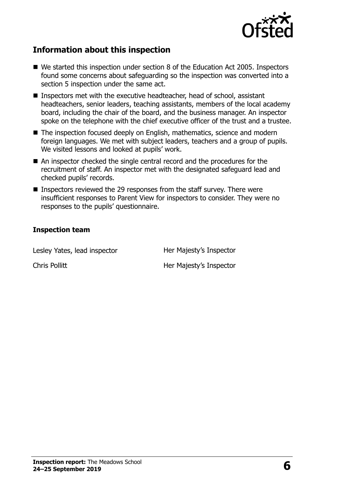

### **Information about this inspection**

- We started this inspection under section 8 of the Education Act 2005. Inspectors found some concerns about safeguarding so the inspection was converted into a section 5 inspection under the same act.
- Inspectors met with the executive headteacher, head of school, assistant headteachers, senior leaders, teaching assistants, members of the local academy board, including the chair of the board, and the business manager. An inspector spoke on the telephone with the chief executive officer of the trust and a trustee.
- The inspection focused deeply on English, mathematics, science and modern foreign languages. We met with subject leaders, teachers and a group of pupils. We visited lessons and looked at pupils' work.
- An inspector checked the single central record and the procedures for the recruitment of staff. An inspector met with the designated safeguard lead and checked pupils' records.
- Inspectors reviewed the 29 responses from the staff survey. There were insufficient responses to Parent View for inspectors to consider. They were no responses to the pupils' questionnaire.

#### **Inspection team**

Lesley Yates, lead inspector **Her Majesty's Inspector** 

Chris Pollitt **Her Majesty's Inspector**